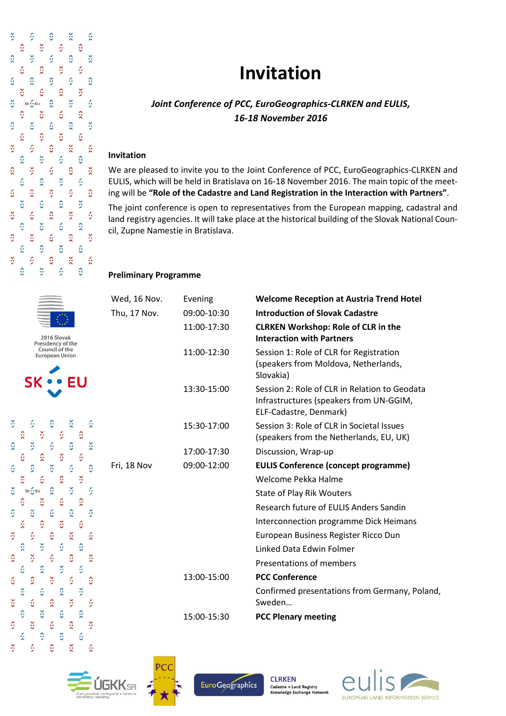# **Invitation**

## *Joint Conference of PCC, EuroGeographics-CLRKEN and EULIS, 16-18 November 2016*

### **Invitation**

We are pleased to invite you to the Joint Conference of PCC, EuroGeographics-CLRKEN and EULIS, which will be held in Bratislava on 16-18 November 2016. The main topic of the meeting will be **"Role of the Cadastre and Land Registration in the Interaction with Partners"**.

The joint conference is open to representatives from the European mapping, cadastral and land registry agencies. It will take place at the historical building of the Slovak National Council, Zupne Namestie in Bratislava.

#### **Preliminary Programme**

| <b>Introduction of Slovak Cadastre</b><br>09:00-10:30<br>Thu, 17 Nov.<br>11:00-17:30<br><b>CLRKEN Workshop: Role of CLR in the</b><br><b>Interaction with Partners</b><br>11:00-12:30<br>Session 1: Role of CLR for Registration<br>(speakers from Moldova, Netherlands,<br>Slovakia)<br>Session 2: Role of CLR in Relation to Geodata<br>13:30-15:00<br>Infrastructures (speakers from UN-GGIM,<br>ELF-Cadastre, Denmark)<br>Session 3: Role of CLR in Societal Issues<br>15:30-17:00<br>(speakers from the Netherlands, EU, UK)<br>17:00-17:30<br>Discussion, Wrap-up<br>09:00-12:00<br><b>EULIS Conference (concept programme)</b><br>Fri, 18 Nov<br>Welcome Pekka Halme<br><b>State of Play Rik Wouters</b><br>Research future of FULIS Anders Sandin<br>Interconnection programme Dick Heimans<br>European Business Register Ricco Dun<br>Linked Data Edwin Folmer<br>Presentations of members<br><b>PCC Conference</b><br>13:00-15:00<br>Confirmed presentations from Germany, Poland,<br>Sweden<br>15:00-15:30<br><b>PCC Plenary meeting</b> | Wed, 16 Nov. | Evening | <b>Welcome Reception at Austria Trend Hotel</b> |
|-----------------------------------------------------------------------------------------------------------------------------------------------------------------------------------------------------------------------------------------------------------------------------------------------------------------------------------------------------------------------------------------------------------------------------------------------------------------------------------------------------------------------------------------------------------------------------------------------------------------------------------------------------------------------------------------------------------------------------------------------------------------------------------------------------------------------------------------------------------------------------------------------------------------------------------------------------------------------------------------------------------------------------------------------------|--------------|---------|-------------------------------------------------|
|                                                                                                                                                                                                                                                                                                                                                                                                                                                                                                                                                                                                                                                                                                                                                                                                                                                                                                                                                                                                                                                     |              |         |                                                 |
|                                                                                                                                                                                                                                                                                                                                                                                                                                                                                                                                                                                                                                                                                                                                                                                                                                                                                                                                                                                                                                                     |              |         |                                                 |
|                                                                                                                                                                                                                                                                                                                                                                                                                                                                                                                                                                                                                                                                                                                                                                                                                                                                                                                                                                                                                                                     |              |         |                                                 |
|                                                                                                                                                                                                                                                                                                                                                                                                                                                                                                                                                                                                                                                                                                                                                                                                                                                                                                                                                                                                                                                     |              |         |                                                 |
|                                                                                                                                                                                                                                                                                                                                                                                                                                                                                                                                                                                                                                                                                                                                                                                                                                                                                                                                                                                                                                                     |              |         |                                                 |
|                                                                                                                                                                                                                                                                                                                                                                                                                                                                                                                                                                                                                                                                                                                                                                                                                                                                                                                                                                                                                                                     |              |         |                                                 |
|                                                                                                                                                                                                                                                                                                                                                                                                                                                                                                                                                                                                                                                                                                                                                                                                                                                                                                                                                                                                                                                     |              |         |                                                 |
|                                                                                                                                                                                                                                                                                                                                                                                                                                                                                                                                                                                                                                                                                                                                                                                                                                                                                                                                                                                                                                                     |              |         |                                                 |
|                                                                                                                                                                                                                                                                                                                                                                                                                                                                                                                                                                                                                                                                                                                                                                                                                                                                                                                                                                                                                                                     |              |         |                                                 |
|                                                                                                                                                                                                                                                                                                                                                                                                                                                                                                                                                                                                                                                                                                                                                                                                                                                                                                                                                                                                                                                     |              |         |                                                 |
|                                                                                                                                                                                                                                                                                                                                                                                                                                                                                                                                                                                                                                                                                                                                                                                                                                                                                                                                                                                                                                                     |              |         |                                                 |
|                                                                                                                                                                                                                                                                                                                                                                                                                                                                                                                                                                                                                                                                                                                                                                                                                                                                                                                                                                                                                                                     |              |         |                                                 |
|                                                                                                                                                                                                                                                                                                                                                                                                                                                                                                                                                                                                                                                                                                                                                                                                                                                                                                                                                                                                                                                     |              |         |                                                 |
|                                                                                                                                                                                                                                                                                                                                                                                                                                                                                                                                                                                                                                                                                                                                                                                                                                                                                                                                                                                                                                                     |              |         |                                                 |
|                                                                                                                                                                                                                                                                                                                                                                                                                                                                                                                                                                                                                                                                                                                                                                                                                                                                                                                                                                                                                                                     |              |         |                                                 |
|                                                                                                                                                                                                                                                                                                                                                                                                                                                                                                                                                                                                                                                                                                                                                                                                                                                                                                                                                                                                                                                     |              |         |                                                 |
|                                                                                                                                                                                                                                                                                                                                                                                                                                                                                                                                                                                                                                                                                                                                                                                                                                                                                                                                                                                                                                                     |              |         |                                                 |











 $\ddot{\cdot}$ š ô  $\sum$  $\ddot{\tilde{}}$ × f,  $\hat{c}$  $\hat{z}$  $\ddot{\cdot}$ š ś ê  $\sum_{i=1}^{n}$ š ó  $\hat{z}$ š  $\ddot{\cdot}$  $\ddot{\ddot{\Omega}}$  $\ddot{\phantom{0}}$  $\ddot{\cdot}$  $\hat{c}$  $\hat{z}$ š č ć  $\ddot{\cdot}$  $\ddot{\cdot}$  $\hat{r}$ SK ... EU ś  $\ddot{\cdot}$ č ć  $\hat{\cdot}$ č  $\ddot{\circ}$  $\ddot{ }$ č  $\hat{v}$  $\check{c}$ ž ő × ś  $\hat{c}$  $\ddot{\cdot}$  $\ddot{\cdot}$  $\ddot{\cdot}$ š ś  $\hat{a}$  $\ddot{\ddot{\cdot}}$  $\ddot{ }$ š  $\hat{c}$  $\ddot{\cdot}$  $\ddot{\phantom{0}}$  $\ddot{\cdot}$ š č  $\ddot{\ddot{\cdot}}$  $\ddot{\phantom{0}}$  $\ddot{\cdot}$  $\ddot{\phantom{0}}$  $\hat{c}$ š č ś  $\ddot{\cdot}$ š  $\ddot{\ddot{\cdot}}$  $\ddot{\circ}$  $\ddot{\cdot}$  $\ddot{\cdot}$  $\hat{a}$  $\ddot{\ddot{\cdot}}$  $\ddot{\circ}$  $\ddot{\cdot}$  $\ddot{\cdot}$  $\hat{z}$  $\ddot{\ddot{\cdot}}$  $\ddot{\cdot}$  $\ddot{ }$  $\ddot{\cdot}$ č  $\ddot{\tilde{}}$  $\ddot{\cdot}$ š š  $\hat{c}$  $\ddot{\tilde{ }}$  $\ddot{\tilde{}}$ 



š

 $\ddot{\phantom{1}}$ 

 $\ddot{\ddot{\Omega}}$ 

 $\ddot{\ddot{\cdot}}$ 

 $\hat{v}$ 

 $\ddot{\cdot}$ 

 $\ddot{\ddot{\cdot}}$ 

 $\ddot{\ddot{\cdot}}$ 

 $\hat{z}$ 

 $\ddot{\cdot}$ 

 $\ddot{\phantom{0}}$ ž

ó

 $\hat{z}$ 

 $\ddot{\cdot}$ š

 $\ddot{\phantom{0}}$ 

č

 $\ddot{\ddot{\cdot}}$ 

 $\ddot{\cdot}$ 

 $\ddot{\cdot}$ 

š

 $\ddot{\phantom{0}}$ č

> SK ... EU  $\ddot{\ddot{\cdot}}$

> > $\ddot{\ddot{\cdot}}$

 $\ddot{\cdot}$ 

š

 $\ddot{\cdot}$ 

€  $\hat{v}$ 

č

š

č

 $\ddot{\cdot}$ 

 $\ddot{\ddot{\cdot}}$ 

 $\ddot{\ddot{\ }}$ 

 $\hat{z}$ 

 $\ddot{\cdot}$ 

 $\ddot{\cdot}$ 

 $\ddot{\cdot}$ 

ć

 $\hat{c}$ 

š

š

 $\ddot{\cdot}$ 

 $\ddot{\circ}$  $\hat{v}$ 

 $\hat{c}$ 

š  $\ddot{\cdot}$ 

š

 $\hat{z}$ 

 $\ddot{\circ}$ 

 $\hat{\cdot}$ 

 $\ddot{\cdot}$ 

š

 $\ddot{\phantom{0}}$ 

 $\ddot{\circ}$  $\ddot{\cdot}$ 

 $\ddot{\ddot{\cdot}}$ 

š

 $\ddot{\phantom{0}}$  $\ddot{\cdot}$ 

 $\ddot{\circ}$ 

 $\ddot{\ddot{\cdot}}$ 

š

 $\ddot{\sim}$ 

 $\ddot{\cdot}$ 

 $\ddot{\cdot}$ 

 $\ddot{\cdot}$ 

 $\ddot{\tilde{ }}$ 

 $\hat{c}$ 

 $\ddot{\phantom{0}}$ 

 $\ddot{\phantom{0}}$ 

 $\ddot{\approx}$ 

 $\ddot{\cdot}$ 

 $\sum$ 

 $\hat{c}$ 

š

×

 $\ddot{\tilde{}}$ 

 $\ddot{\sim}$ 

 $\hat{c}$ 

 $\ddot{\phantom{0}}$ 

 $\ddot{\cdot}$ 

 $\ddot{\tilde{}}$ 

 $\hat{\cdot}$ 

š

š

 $\ddot{\cdot}$ 

 $\ddot{\cdot}$ 

 $\hat{c}$ 

š

×

 $\hat{z}$ 

 $\ddot{\cdot}$ 

 $\hat{c}$ 

2016 Slovak Presidency of the<br>Council of the **European Union**